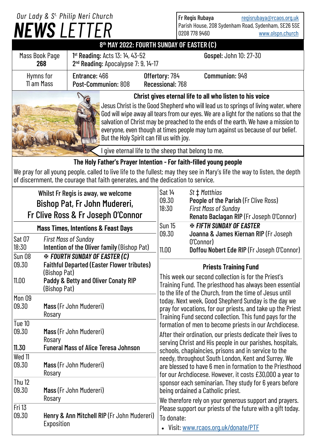# *NEWS LETTER Our Lady & S t. Philip Neri Church*

Fr Regis Rubaya [regisrubaya@rcaos.org.uk](mailto:regisrubaya@rcaos.org.uk) Parish House, 208 Sydenham Road, Sydenham, SE26 5SE 0208 778 9460 [www.olspn.church](http://www.olspn.church)

**8 th MAY 2022: FOURTH SUNDAY OF EASTER (C)**

| Mass Book Page<br>268                                          | 1 <sup>st</sup> Reading: Acts 13: 14, 43-52<br>2 <sup>nd</sup> Reading: Apocalypse 7: 9, 14-17 |                                    | <b>Gospel: John 10: 27-30</b> |
|----------------------------------------------------------------|------------------------------------------------------------------------------------------------|------------------------------------|-------------------------------|
| Hymns for<br>11 am Mass                                        | Entrance: 466<br>Post-Communion: 808                                                           | Offertory: 784<br>Recessional: 768 | Communion: 948                |
| Christ gives eternal life to all who listen to his voice<br>Ya |                                                                                                |                                    |                               |

Jesus Christ is the Good Shepherd who will lead us to springs of living water, where God will wipe away all tears from our eyes. We are a light for the nations so that the salvation of Christ may be preached to the ends of the earth. We have a mission to everyone, even though at times people may turn against us because of our belief. But the Holy Spirit can fill us with joy.

I give eternal life to the sheep that belong to me.

## **The Holy Father's Prayer Intention - For faith-filled young people**

We pray for all young people, called to live life to the fullest; may they see in Mary's life the way to listen, the depth of discernment, the courage that faith generates, and the dedication to service.

| Whilst Fr Regis is away, we welcome<br>Bishop Pat, Fr John Mudereri,<br>Fr Clive Ross & Fr Joseph O'Connor |                                                                                                            | Sat 14<br>09.30<br>18:30                                                                                                                                                                                                                                                                                                                                    | St $\ddagger$ Matthias<br>People of the Parish (Fr Clive Ross)<br><b>First Mass of Sunday</b><br>Renato Baclagan RIP (Fr Joseph O'Connor)                                                                                           |  |
|------------------------------------------------------------------------------------------------------------|------------------------------------------------------------------------------------------------------------|-------------------------------------------------------------------------------------------------------------------------------------------------------------------------------------------------------------------------------------------------------------------------------------------------------------------------------------------------------------|-------------------------------------------------------------------------------------------------------------------------------------------------------------------------------------------------------------------------------------|--|
| <b>Mass Times, Intentions &amp; Feast Days</b>                                                             |                                                                                                            | <b>Sun 15</b><br>09.30                                                                                                                                                                                                                                                                                                                                      | <b>EX FIFTH SUNDAY OF EASTER</b>                                                                                                                                                                                                    |  |
| Sat 07<br>18:30                                                                                            | <b>First Mass of Sunday</b><br>Intention of the Oliver family (Bishop Pat)                                 | 11.00                                                                                                                                                                                                                                                                                                                                                       | Joanna & James Kiernan RIP (Fr Joseph<br>O'Connor)<br>Doffou Nobert Ede RIP (Fr Joseph O'Connor)                                                                                                                                    |  |
| <b>Sun 08</b><br>09.30                                                                                     | <b>EX FOURTH SUNDAY OF EASTER (C)</b><br><b>Faithful Departed (Easter Flower tributes)</b><br>(Bishop Pat) |                                                                                                                                                                                                                                                                                                                                                             | <b>Priests Training Fund</b>                                                                                                                                                                                                        |  |
| 11.00                                                                                                      | Paddy & Betty and Oliver Conaty RIP<br>(Bishop Pat)                                                        | This week our second collection is for the Priest's<br>Training Fund. The priesthood has always been essential<br>to the life of the Church, from the time of Jesus until<br>today. Next week, Good Shepherd Sunday is the day we<br>pray for vocations, for our priests, and take up the Priest<br>Training Fund second collection. This fund pays for the |                                                                                                                                                                                                                                     |  |
| Mon 09<br>09.30                                                                                            | Mass (Fr John Mudereri)<br>Rosary                                                                          |                                                                                                                                                                                                                                                                                                                                                             |                                                                                                                                                                                                                                     |  |
| Tue 10                                                                                                     |                                                                                                            |                                                                                                                                                                                                                                                                                                                                                             | formation of men to become priests in our Archdiocese.                                                                                                                                                                              |  |
| 09.30<br>11.30                                                                                             | Mass (Fr John Mudereri)<br>Rosary<br><b>Funeral Mass of Alice Teresa Johnson</b>                           | After their ordination, our priests dedicate their lives to<br>serving Christ and His people in our parishes, hospitals,                                                                                                                                                                                                                                    |                                                                                                                                                                                                                                     |  |
| Wed 11<br>09.30                                                                                            | Mass (Fr John Mudereri)<br>Rosary                                                                          |                                                                                                                                                                                                                                                                                                                                                             | schools, chaplaincies, prisons and in service to the<br>needy, throughout South London, Kent and Surrey. We<br>are blessed to have 6 men in formation to the Priesthood<br>for our Archdiocese. However, it costs £30,000 a year to |  |
| <b>Thu 12</b><br>09.30                                                                                     | Mass (Fr John Mudereri)<br>Rosary                                                                          | sponsor each seminarian. They study for 6 years before<br>being ordained a Catholic priest.<br>We therefore rely on your generous support and prayers.<br>Please support our priests of the future with a gift today.<br>To donate:<br>Visit: www.rcaos.org.uk/donate/PTF                                                                                   |                                                                                                                                                                                                                                     |  |
| <b>Fri 13</b><br>09.30                                                                                     | Henry & Ann Mitchell RIP (Fr John Mudereri)<br>Exposition                                                  |                                                                                                                                                                                                                                                                                                                                                             |                                                                                                                                                                                                                                     |  |